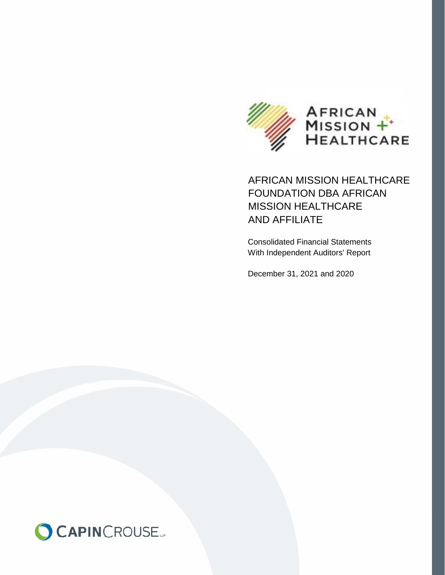

# AFRICAN MISSION HEALTHCARE FOUNDATION DBA AFRICAN MISSION HEALTHCARE AND AFFILIATE

Consolidated Financial Statements With Independent Auditors' Report

December 31, 2021 and 2020

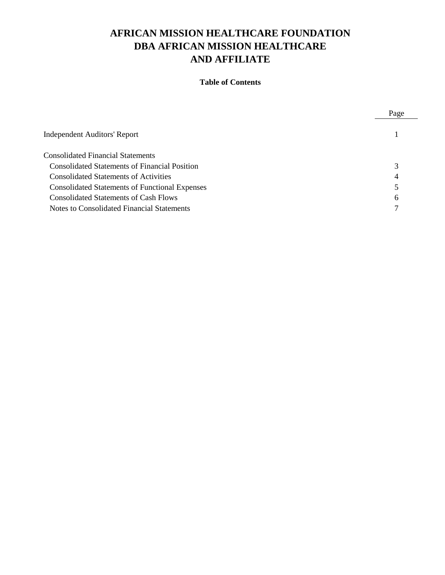# **AFRICAN MISSION HEALTHCARE FOUNDATION DBA AFRICAN MISSION HEALTHCARE AND AFFILIATE**

### **Table of Contents**

Page

| <b>Independent Auditors' Report</b>                   |   |
|-------------------------------------------------------|---|
| <b>Consolidated Financial Statements</b>              |   |
| <b>Consolidated Statements of Financial Position</b>  |   |
| <b>Consolidated Statements of Activities</b>          | 4 |
| <b>Consolidated Statements of Functional Expenses</b> |   |
| Consolidated Statements of Cash Flows                 | 6 |
| Notes to Consolidated Financial Statements            |   |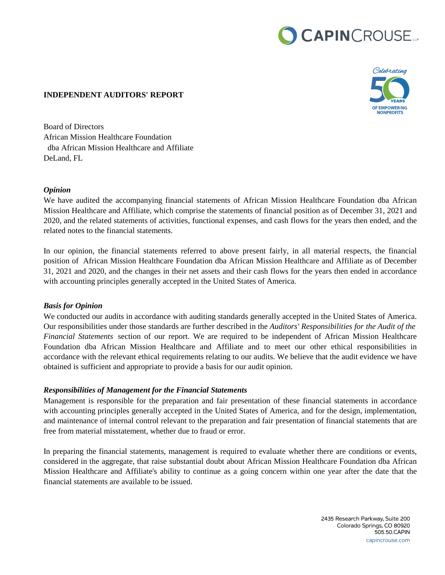# CAPINCROUSE.



#### **INDEPENDENT AUDITORS' REPORT**

Board of Directors African Mission Healthcare Foundation dba African Mission Healthcare and Affiliate DeLand, FL

#### *Opinion*

We have audited the accompanying financial statements of African Mission Healthcare Foundation dba African Mission Healthcare and Affiliate, which comprise the statements of financial position as of December 31, 2021 and 2020, and the related statements of activities, functional expenses, and cash flows for the years then ended, and the related notes to the financial statements.

In our opinion, the financial statements referred to above present fairly, in all material respects, the financial position of African Mission Healthcare Foundation dba African Mission Healthcare and Affiliate as of December 31, 2021 and 2020, and the changes in their net assets and their cash flows for the years then ended in accordance with accounting principles generally accepted in the United States of America.

#### *Basis for Opinion*

We conducted our audits in accordance with auditing standards generally accepted in the United States of America. Our responsibilities under those standards are further described in the *Auditors' Responsibilities for the Audit of the Financial Statements* section of our report. We are required to be independent of African Mission Healthcare Foundation dba African Mission Healthcare and Affiliate and to meet our other ethical responsibilities in accordance with the relevant ethical requirements relating to our audits. We believe that the audit evidence we have obtained is sufficient and appropriate to provide a basis for our audit opinion.

#### *Responsibilities of Management for the Financial Statements*

Management is responsible for the preparation and fair presentation of these financial statements in accordance with accounting principles generally accepted in the United States of America, and for the design, implementation, and maintenance of internal control relevant to the preparation and fair presentation of financial statements that are free from material misstatement, whether due to fraud or error.

In preparing the financial statements, management is required to evaluate whether there are conditions or events, considered in the aggregate, that raise substantial doubt about African Mission Healthcare Foundation dba African Mission Healthcare and Affiliate's ability to continue as a going concern within one year after the date that the financial statements are available to be issued.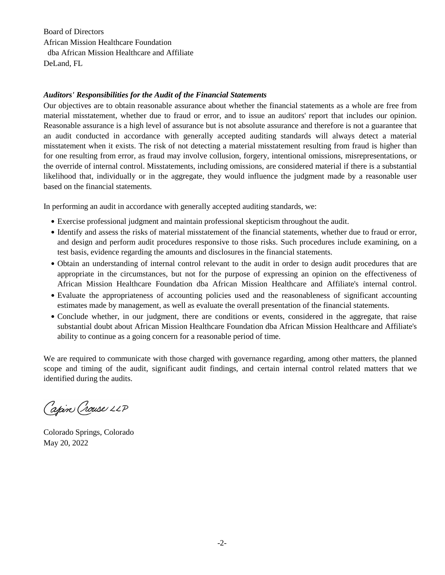Board of Directors African Mission Healthcare Foundation dba African Mission Healthcare and Affiliate DeLand, FL

#### *Auditors' Responsibilities for the Audit of the Financial Statements*

Our objectives are to obtain reasonable assurance about whether the financial statements as a whole are free from material misstatement, whether due to fraud or error, and to issue an auditors' report that includes our opinion. Reasonable assurance is a high level of assurance but is not absolute assurance and therefore is not a guarantee that an audit conducted in accordance with generally accepted auditing standards will always detect a material misstatement when it exists. The risk of not detecting a material misstatement resulting from fraud is higher than for one resulting from error, as fraud may involve collusion, forgery, intentional omissions, misrepresentations, or the override of internal control. Misstatements, including omissions, are considered material if there is a substantial likelihood that, individually or in the aggregate, they would influence the judgment made by a reasonable user based on the financial statements.

In performing an audit in accordance with generally accepted auditing standards, we:

- $\bullet$  Exercise professional judgment and maintain professional skepticism throughout the audit. final statements are the responsibility of the organization of the organization  $\mathcal{O}$
- Identify and assess the risks of material misstatement of the financial statements, whether due to fraud or error, and design and perform audit procedures responsive to those risks. Such procedures include examining, on a test basis, evidence regarding the amounts and disclosures in the financial statements.
- Obtain an understanding of internal control relevant to the audit in order to design audit procedures that are appropriate in the circumstances, but not for the purpose of expressing an opinion on the effectiveness of African Mission Healthcare Foundation dba African Mission Healthcare and Affiliate's internal control.
- · Evaluate the appropriateness of accounting policies used and the reasonableness of significant accounting estimates made by management, as well as evaluate the overall presentation of the financial statements.
- Conclude whether, in our judgment, there are conditions or events, considered in the aggregate, that raise substantial doubt about African Mission Healthcare Foundation dba African Mission Healthcare and Affiliate's ability to continue as a going concern for a reasonable period of time.

We are required to communicate with those charged with governance regarding, among other matters, the planned scope and timing of the audit, significant audit findings, and certain internal control related matters that we identified during the audits.  $\mathcal{I}(\mathcal{I})$  our opinion, the financial statements referred to above present fairly, in all material respects, the financial respects, the financial respects, the financial respects, the financial respects, the financia we are required to communicate with those charged with governance regarding, among other matters, the planne

Capin Crouse LLP

Colorado Springs, Colorado May 20, 2022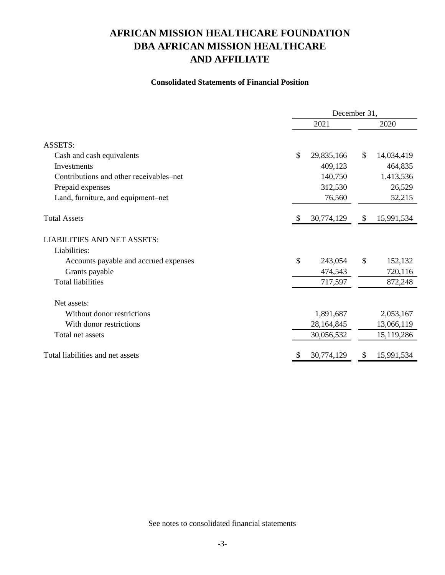# **AND AFFILIATE DBA AFRICAN MISSION HEALTHCARE AFRICAN MISSION HEALTHCARE FOUNDATION**

#### **Consolidated Statements of Financial Position**

|                                         | December 31, |            |              |            |  |  |
|-----------------------------------------|--------------|------------|--------------|------------|--|--|
|                                         |              | 2021       |              | 2020       |  |  |
| <b>ASSETS:</b>                          |              |            |              |            |  |  |
| Cash and cash equivalents               | \$           | 29,835,166 | $\mathbb{S}$ | 14,034,419 |  |  |
| Investments                             |              | 409,123    |              | 464,835    |  |  |
| Contributions and other receivables–net |              | 140,750    |              | 1,413,536  |  |  |
| Prepaid expenses                        |              | 312,530    |              | 26,529     |  |  |
| Land, furniture, and equipment-net      |              | 76,560     |              | 52,215     |  |  |
| <b>Total Assets</b>                     |              | 30,774,129 | \$           | 15,991,534 |  |  |
| <b>LIABILITIES AND NET ASSETS:</b>      |              |            |              |            |  |  |
| Liabilities:                            |              |            |              |            |  |  |
| Accounts payable and accrued expenses   | \$           | 243,054    | \$           | 152,132    |  |  |
| Grants payable                          |              | 474,543    |              | 720,116    |  |  |
| <b>Total liabilities</b>                |              | 717,597    |              | 872,248    |  |  |
| Net assets:                             |              |            |              |            |  |  |
| Without donor restrictions              |              | 1,891,687  |              | 2,053,167  |  |  |
| With donor restrictions                 |              | 28,164,845 |              | 13,066,119 |  |  |
| Total net assets                        |              | 30,056,532 |              | 15,119,286 |  |  |
| Total liabilities and net assets        |              | 30,774,129 | \$           | 15,991,534 |  |  |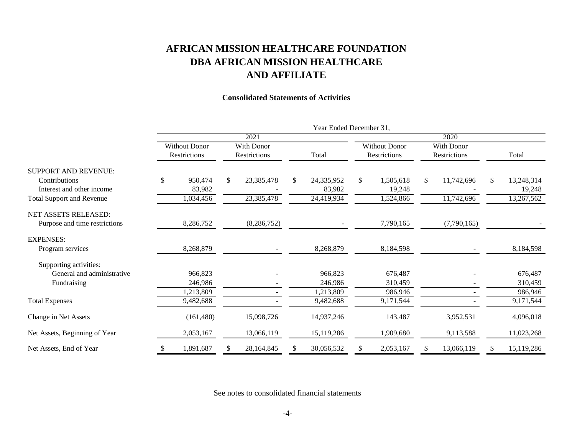# **AFRICAN MISSION HEALTHCARE FOUNDATION DBA AFRICAN MISSION HEALTHCARE AND AFFILIATE**

### **Consolidated Statements of Activities**

|                                            | Year Ended December 31, |                                      |      |                                   |      |                      |    |                                      |              |                                   |    |                      |
|--------------------------------------------|-------------------------|--------------------------------------|------|-----------------------------------|------|----------------------|----|--------------------------------------|--------------|-----------------------------------|----|----------------------|
|                                            |                         |                                      | 2021 |                                   | 2020 |                      |    |                                      |              |                                   |    |                      |
|                                            |                         | <b>Without Donor</b><br>Restrictions |      | With Donor<br><b>Restrictions</b> |      | Total                |    | <b>Without Donor</b><br>Restrictions |              | <b>With Donor</b><br>Restrictions |    | Total                |
| <b>SUPPORT AND REVENUE:</b>                |                         |                                      |      |                                   |      |                      |    |                                      |              |                                   |    |                      |
| Contributions<br>Interest and other income | \$                      | 950,474<br>83,982                    | \$   | 23,385,478                        | \$   | 24,335,952<br>83,982 | \$ | 1,505,618<br>19,248                  | $\mathbb{S}$ | 11,742,696                        | \$ | 13,248,314<br>19,248 |
| <b>Total Support and Revenue</b>           |                         | 1,034,456                            |      | 23,385,478                        |      | 24,419,934           |    | 1,524,866                            |              | 11,742,696                        |    | 13,267,562           |
| NET ASSETS RELEASED:                       |                         |                                      |      |                                   |      |                      |    |                                      |              |                                   |    |                      |
| Purpose and time restrictions              |                         | 8,286,752                            |      | (8, 286, 752)                     |      |                      |    | 7,790,165                            |              | (7,790,165)                       |    |                      |
| <b>EXPENSES:</b>                           |                         |                                      |      |                                   |      |                      |    |                                      |              |                                   |    |                      |
| Program services                           |                         | 8,268,879                            |      |                                   |      | 8,268,879            |    | 8,184,598                            |              |                                   |    | 8,184,598            |
| Supporting activities:                     |                         |                                      |      |                                   |      |                      |    |                                      |              |                                   |    |                      |
| General and administrative                 |                         | 966,823                              |      |                                   |      | 966,823              |    | 676,487                              |              |                                   |    | 676,487              |
| Fundraising                                |                         | 246,986                              |      |                                   |      | 246,986              |    | 310,459                              |              |                                   |    | 310,459              |
|                                            |                         | 1,213,809                            |      |                                   |      | 1,213,809            |    | 986,946                              |              |                                   |    | 986,946              |
| <b>Total Expenses</b>                      |                         | 9,482,688                            |      |                                   |      | 9,482,688            |    | 9,171,544                            |              |                                   |    | 9,171,544            |
| Change in Net Assets                       |                         | (161, 480)                           |      | 15,098,726                        |      | 14,937,246           |    | 143,487                              |              | 3,952,531                         |    | 4,096,018            |
| Net Assets, Beginning of Year              |                         | 2,053,167                            |      | 13,066,119                        |      | 15,119,286           |    | 1,909,680                            |              | 9,113,588                         |    | 11,023,268           |
| Net Assets, End of Year                    | <sup>\$</sup>           | 1,891,687                            | S    | 28,164,845                        |      | 30,056,532           | \$ | 2,053,167                            | S.           | 13,066,119                        | S. | 15,119,286           |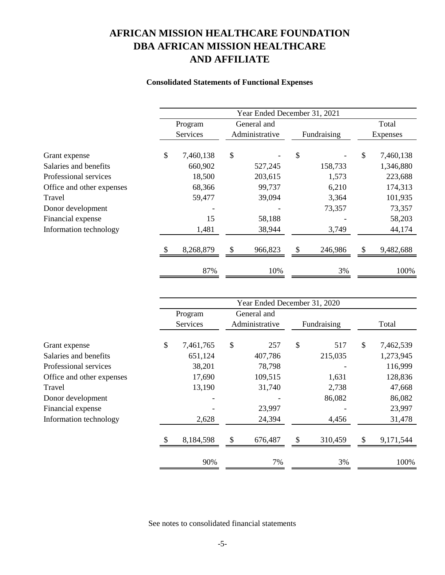# **AFRICAN MISSION HEALTHCARE FOUNDATION DBA AFRICAN MISSION HEALTHCARE AND AFFILIATE**

### **Consolidated Statements of Functional Expenses**

|                           | Year Ended December 31, 2021 |                |             |             |         |          |           |  |
|---------------------------|------------------------------|----------------|-------------|-------------|---------|----------|-----------|--|
|                           | Program                      |                | General and |             |         | Total    |           |  |
|                           | Services                     | Administrative |             | Fundraising |         | Expenses |           |  |
| Grant expense             | \$<br>7,460,138              | \$             |             | \$          |         | \$       | 7,460,138 |  |
| Salaries and benefits     | 660,902                      |                | 527,245     |             | 158,733 |          | 1,346,880 |  |
| Professional services     | 18,500                       |                | 203,615     |             | 1,573   |          | 223,688   |  |
| Office and other expenses | 68,366                       |                | 99,737      |             | 6,210   |          | 174,313   |  |
| Travel                    | 59,477                       |                | 39,094      |             | 3,364   |          | 101,935   |  |
| Donor development         |                              |                |             |             | 73,357  |          | 73,357    |  |
| Financial expense         | 15                           |                | 58,188      |             |         |          | 58,203    |  |
| Information technology    | 1,481                        |                | 38,944      |             | 3,749   |          | 44,174    |  |
|                           | 8,268,879                    | $\mathcal{S}$  | 966,823     | \$          | 246,986 | \$       | 9,482,688 |  |
|                           | 87%                          |                | 10%         |             | 3%      |          | 100%      |  |

|                           | Year Ended December 31, 2020 |           |             |                |    |             |    |           |
|---------------------------|------------------------------|-----------|-------------|----------------|----|-------------|----|-----------|
|                           |                              | Program   | General and |                |    |             |    |           |
|                           |                              | Services  |             | Administrative |    | Fundraising |    | Total     |
|                           |                              |           |             |                |    |             |    |           |
| Grant expense             | \$                           | 7,461,765 | \$          | 257            | \$ | 517         | \$ | 7,462,539 |
| Salaries and benefits     |                              | 651,124   |             | 407,786        |    | 215,035     |    | 1,273,945 |
| Professional services     |                              | 38,201    |             | 78,798         |    |             |    | 116,999   |
| Office and other expenses |                              | 17,690    |             | 109,515        |    | 1,631       |    | 128,836   |
| Travel                    |                              | 13,190    |             | 31,740         |    | 2,738       |    | 47,668    |
| Donor development         |                              |           |             |                |    | 86,082      |    | 86,082    |
| Financial expense         |                              |           |             | 23,997         |    |             |    | 23,997    |
| Information technology    |                              | 2,628     |             | 24,394         |    | 4,456       |    | 31,478    |
|                           |                              |           |             |                |    |             |    |           |
|                           | \$.                          | 8,184,598 | \$          | 676,487        | \$ | 310,459     | \$ | 9,171,544 |
|                           |                              |           |             |                |    |             |    |           |
|                           |                              | 90%       |             | 7%             |    | 3%          |    | 100%      |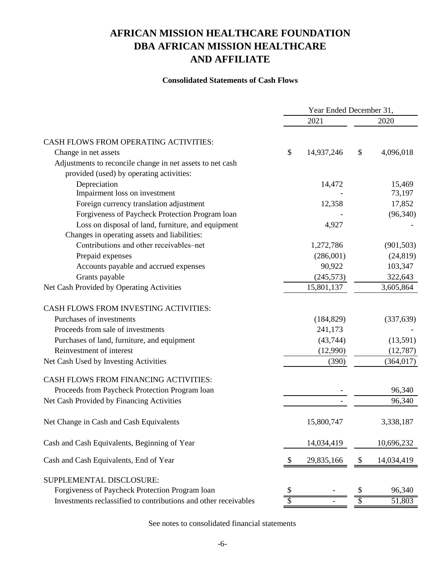# **AND AFFILIATE DBA AFRICAN MISSION HEALTHCARE AFRICAN MISSION HEALTHCARE FOUNDATION**

### **Consolidated Statements of Cash Flows**

|                                                                 | Year Ended December 31, |            |      |            |  |
|-----------------------------------------------------------------|-------------------------|------------|------|------------|--|
|                                                                 |                         | 2021       | 2020 |            |  |
| <b>CASH FLOWS FROM OPERATING ACTIVITIES:</b>                    |                         |            |      |            |  |
| Change in net assets                                            | \$                      | 14,937,246 | \$   | 4,096,018  |  |
| Adjustments to reconcile change in net assets to net cash       |                         |            |      |            |  |
| provided (used) by operating activities:                        |                         |            |      |            |  |
| Depreciation                                                    |                         | 14,472     |      | 15,469     |  |
| Impairment loss on investment                                   |                         |            |      | 73,197     |  |
| Foreign currency translation adjustment                         |                         | 12,358     |      | 17,852     |  |
| Forgiveness of Paycheck Protection Program loan                 |                         |            |      | (96, 340)  |  |
| Loss on disposal of land, furniture, and equipment              |                         | 4,927      |      |            |  |
| Changes in operating assets and liabilities:                    |                         |            |      |            |  |
| Contributions and other receivables-net                         |                         | 1,272,786  |      | (901, 503) |  |
| Prepaid expenses                                                |                         | (286,001)  |      | (24, 819)  |  |
| Accounts payable and accrued expenses                           |                         | 90,922     |      | 103,347    |  |
| Grants payable                                                  |                         | (245, 573) |      | 322,643    |  |
| Net Cash Provided by Operating Activities                       |                         | 15,801,137 |      | 3,605,864  |  |
| CASH FLOWS FROM INVESTING ACTIVITIES:                           |                         |            |      |            |  |
| Purchases of investments                                        |                         | (184, 829) |      | (337, 639) |  |
| Proceeds from sale of investments                               |                         | 241,173    |      |            |  |
| Purchases of land, furniture, and equipment                     |                         | (43,744)   |      | (13,591)   |  |
| Reinvestment of interest                                        |                         | (12,990)   |      | (12,787)   |  |
| Net Cash Used by Investing Activities                           |                         | (390)      |      | (364, 017) |  |
| <b>CASH FLOWS FROM FINANCING ACTIVITIES:</b>                    |                         |            |      |            |  |
| Proceeds from Paycheck Protection Program Ioan                  |                         |            |      | 96,340     |  |
| Net Cash Provided by Financing Activities                       |                         |            |      | 96,340     |  |
| Net Change in Cash and Cash Equivalents                         |                         | 15,800,747 |      | 3,338,187  |  |
| Cash and Cash Equivalents, Beginning of Year                    |                         | 14,034,419 |      | 10,696,232 |  |
| Cash and Cash Equivalents, End of Year                          | -S                      | 29,835,166 | \$   | 14,034,419 |  |
| SUPPLEMENTAL DISCLOSURE:                                        |                         |            |      |            |  |
| Forgiveness of Paycheck Protection Program loan                 |                         |            |      | 96,340     |  |
| Investments reclassified to contributions and other receivables |                         |            |      | 51,803     |  |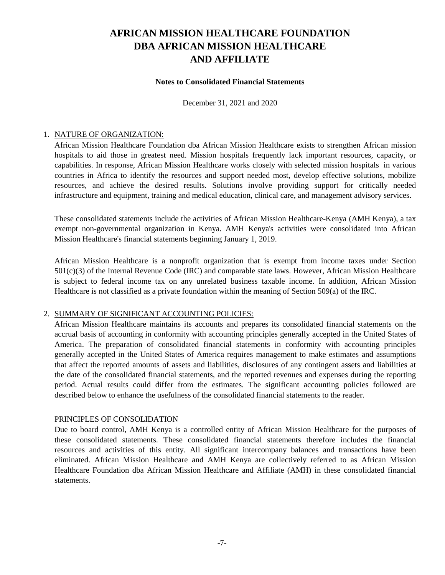#### **Notes to Consolidated Financial Statements**

December 31, 2021 and 2020

#### 1. NATURE OF ORGANIZATION:

African Mission Healthcare Foundation dba African Mission Healthcare exists to strengthen African mission hospitals to aid those in greatest need. Mission hospitals frequently lack important resources, capacity, or capabilities. In response, African Mission Healthcare works closely with selected mission hospitals in various countries in Africa to identify the resources and support needed most, develop effective solutions, mobilize resources, and achieve the desired results. Solutions involve providing support for critically needed infrastructure and equipment, training and medical education, clinical care, and management advisory services.

These consolidated statements include the activities of African Mission Healthcare-Kenya (AMH Kenya), a tax exempt non-governmental organization in Kenya. AMH Kenya's activities were consolidated into African Mission Healthcare's financial statements beginning January 1, 2019.

African Mission Healthcare is a nonprofit organization that is exempt from income taxes under Section 501(c)(3) of the Internal Revenue Code (IRC) and comparable state laws. However, African Mission Healthcare is subject to federal income tax on any unrelated business taxable income. In addition, African Mission Healthcare is not classified as a private foundation within the meaning of Section 509(a) of the IRC.

#### 2. SUMMARY OF SIGNIFICANT ACCOUNTING POLICIES:

African Mission Healthcare maintains its accounts and prepares its consolidated financial statements on the accrual basis of accounting in conformity with accounting principles generally accepted in the United States of America. The preparation of consolidated financial statements in conformity with accounting principles generally accepted in the United States of America requires management to make estimates and assumptions that affect the reported amounts of assets and liabilities, disclosures of any contingent assets and liabilities at the date of the consolidated financial statements, and the reported revenues and expenses during the reporting period. Actual results could differ from the estimates. The significant accounting policies followed are described below to enhance the usefulness of the consolidated financial statements to the reader.

### PRINCIPLES OF CONSOLIDATION

Due to board control, AMH Kenya is a controlled entity of African Mission Healthcare for the purposes of these consolidated statements. These consolidated financial statements therefore includes the financial resources and activities of this entity. All significant intercompany balances and transactions have been eliminated. African Mission Healthcare and AMH Kenya are collectively referred to as African Mission Healthcare Foundation dba African Mission Healthcare and Affiliate (AMH) in these consolidated financial statements.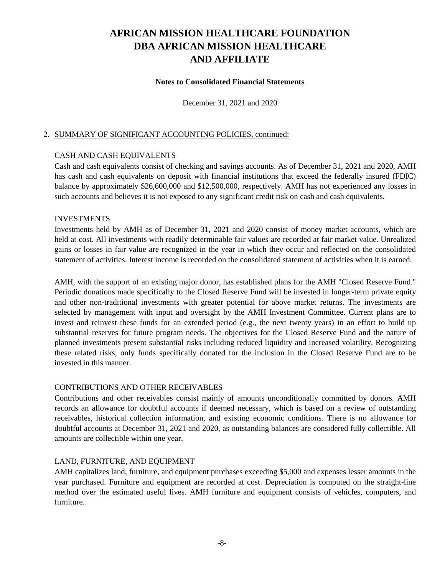#### **Notes to Consolidated Financial Statements**

December 31, 2021 and 2020

#### 2. SUMMARY OF SIGNIFICANT ACCOUNTING POLICIES, continued:

### CASH AND CASH EQUIVALENTS

Cash and cash equivalents consist of checking and savings accounts. As of December 31, 2021 and 2020, AMH has cash and cash equivalents on deposit with financial institutions that exceed the federally insured (FDIC) balance by approximately \$26,600,000 and \$12,500,000, respectively. AMH has not experienced any losses in such accounts and believes it is not exposed to any significant credit risk on cash and cash equivalents.

#### INVESTMENTS

Investments held by AMH as of December 31, 2021 and 2020 consist of money market accounts, which are held at cost. All investments with readily determinable fair values are recorded at fair market value. Unrealized gains or losses in fair value are recognized in the year in which they occur and reflected on the consolidated statement of activities. Interest income is recorded on the consolidated statement of activities when it is earned.

AMH, with the support of an existing major donor, has established plans for the AMH "Closed Reserve Fund." Periodic donations made specifically to the Closed Reserve Fund will be invested in longer-term private equity and other non-traditional investments with greater potential for above market returns. The investments are selected by management with input and oversight by the AMH Investment Committee. Current plans are to invest and reinvest these funds for an extended period (e.g., the next twenty years) in an effort to build up substantial reserves for future program needs. The objectives for the Closed Reserve Fund and the nature of planned investments present substantial risks including reduced liquidity and increased volatility. Recognizing these related risks, only funds specifically donated for the inclusion in the Closed Reserve Fund are to be invested in this manner.

#### CONTRIBUTIONS AND OTHER RECEIVABLES

Contributions and other receivables consist mainly of amounts unconditionally committed by donors. AMH records an allowance for doubtful accounts if deemed necessary, which is based on a review of outstanding receivables, historical collection information, and existing economic conditions. There is no allowance for doubtful accounts at December 31, 2021 and 2020, as outstanding balances are considered fully collectible. All amounts are collectible within one year.

#### LAND, FURNITURE, AND EQUIPMENT

AMH capitalizes land, furniture, and equipment purchases exceeding \$5,000 and expenses lesser amounts in the year purchased. Furniture and equipment are recorded at cost. Depreciation is computed on the straight-line method over the estimated useful lives. AMH furniture and equipment consists of vehicles, computers, and furniture.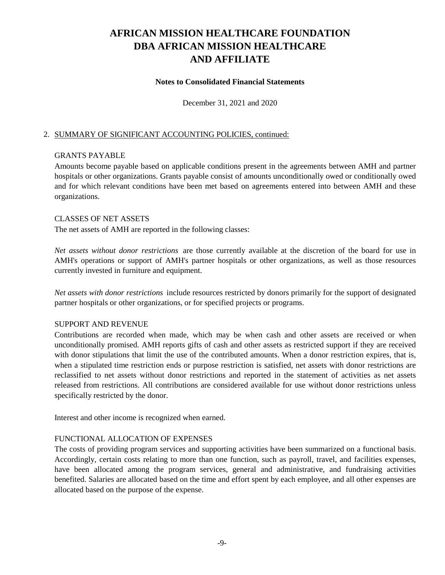#### **Notes to Consolidated Financial Statements**

December 31, 2021 and 2020

#### 2. SUMMARY OF SIGNIFICANT ACCOUNTING POLICIES, continued:

#### GRANTS PAYABLE

Amounts become payable based on applicable conditions present in the agreements between AMH and partner hospitals or other organizations. Grants payable consist of amounts unconditionally owed or conditionally owed and for which relevant conditions have been met based on agreements entered into between AMH and these organizations.

#### CLASSES OF NET ASSETS

The net assets of AMH are reported in the following classes:

*Net assets without donor restrictions* are those currently available at the discretion of the board for use in AMH's operations or support of AMH's partner hospitals or other organizations, as well as those resources currently invested in furniture and equipment.

*Net assets with donor restrictions* include resources restricted by donors primarily for the support of designated partner hospitals or other organizations, or for specified projects or programs.

#### SUPPORT AND REVENUE

Contributions are recorded when made, which may be when cash and other assets are received or when unconditionally promised. AMH reports gifts of cash and other assets as restricted support if they are received with donor stipulations that limit the use of the contributed amounts. When a donor restriction expires, that is, when a stipulated time restriction ends or purpose restriction is satisfied, net assets with donor restrictions are reclassified to net assets without donor restrictions and reported in the statement of activities as net assets released from restrictions. All contributions are considered available for use without donor restrictions unless specifically restricted by the donor.

Interest and other income is recognized when earned.

#### FUNCTIONAL ALLOCATION OF EXPENSES

The costs of providing program services and supporting activities have been summarized on a functional basis. Accordingly, certain costs relating to more than one function, such as payroll, travel, and facilities expenses, have been allocated among the program services, general and administrative, and fundraising activities benefited. Salaries are allocated based on the time and effort spent by each employee, and all other expenses are allocated based on the purpose of the expense.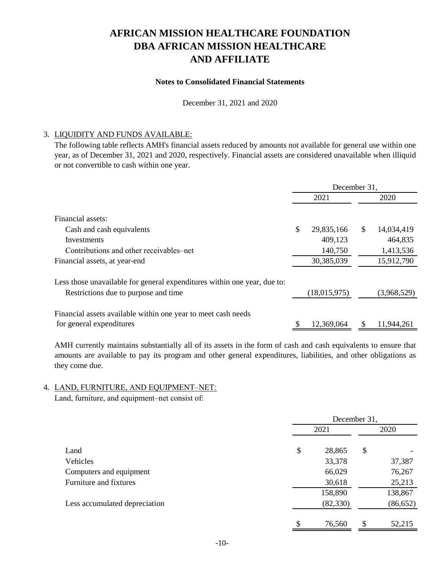### **Notes to Consolidated Financial Statements**

December 31, 2021 and 2020

#### 3. LIQUIDITY AND FUNDS AVAILABLE:

The following table reflects AMH's financial assets reduced by amounts not available for general use within one year, as of December 31, 2021 and 2020, respectively. Financial assets are considered unavailable when illiquid or not convertible to cash within one year.

|                                                                          | December 31, |              |              |             |  |  |
|--------------------------------------------------------------------------|--------------|--------------|--------------|-------------|--|--|
|                                                                          |              | 2021         |              | 2020        |  |  |
|                                                                          |              |              |              |             |  |  |
| Financial assets:                                                        |              |              |              |             |  |  |
| Cash and cash equivalents                                                | \$           | 29,835,166   | $\mathbb{S}$ | 14,034,419  |  |  |
| Investments                                                              |              | 409,123      |              | 464,835     |  |  |
| Contributions and other receivables–net                                  |              | 140,750      |              | 1,413,536   |  |  |
| Financial assets, at year-end                                            |              | 30,385,039   |              | 15,912,790  |  |  |
| Less those unavailable for general expenditures within one year, due to: |              |              |              |             |  |  |
| Restrictions due to purpose and time                                     |              | (18,015,975) |              | (3,968,529) |  |  |
| Financial assets available within one year to meet cash needs            |              |              |              |             |  |  |
| for general expenditures                                                 |              | 12,369,064   |              | 11,944,261  |  |  |
|                                                                          |              |              |              |             |  |  |

AMH currently maintains substantially all of its assets in the form of cash and cash equivalents to ensure that amounts are available to pay its program and other general expenditures, liabilities, and other obligations as they come due.

### 4. LAND, FURNITURE, AND EQUIPMENT–NET:

Land, furniture, and equipment–net consist of:

|                               | December 31, |    |           |  |  |
|-------------------------------|--------------|----|-----------|--|--|
|                               | 2021         |    | 2020      |  |  |
|                               |              |    |           |  |  |
| Land                          | \$<br>28,865 | \$ |           |  |  |
| Vehicles                      | 33,378       |    | 37,387    |  |  |
| Computers and equipment       | 66,029       |    | 76,267    |  |  |
| Furniture and fixtures        | 30,618       |    | 25,213    |  |  |
|                               | 158,890      |    | 138,867   |  |  |
| Less accumulated depreciation | (82, 330)    |    | (86, 652) |  |  |
|                               | \$<br>76,560 | \$ | 52,215    |  |  |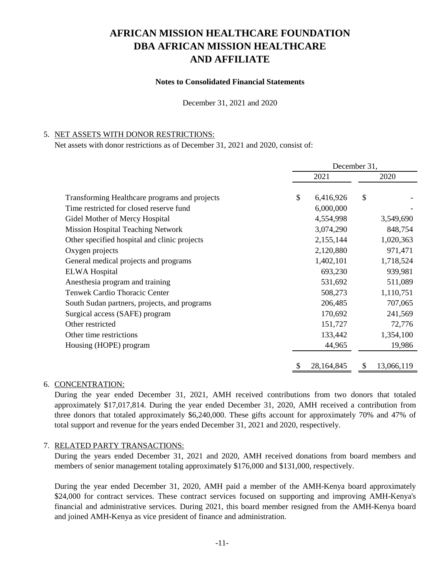#### **Notes to Consolidated Financial Statements**

December 31, 2021 and 2020

#### 5. NET ASSETS WITH DONOR RESTRICTIONS:

Net assets with donor restrictions as of December 31, 2021 and 2020, consist of:

|                                               | December 31, |            |               |            |  |  |
|-----------------------------------------------|--------------|------------|---------------|------------|--|--|
|                                               | 2021         |            |               | 2020       |  |  |
|                                               |              |            |               |            |  |  |
| Transforming Healthcare programs and projects | \$           | 6,416,926  | $\mathcal{S}$ |            |  |  |
| Time restricted for closed reserve fund       |              | 6,000,000  |               |            |  |  |
| Gidel Mother of Mercy Hospital                |              | 4,554,998  |               | 3,549,690  |  |  |
| <b>Mission Hospital Teaching Network</b>      |              | 3,074,290  |               | 848,754    |  |  |
| Other specified hospital and clinic projects  |              | 2,155,144  |               | 1,020,363  |  |  |
| Oxygen projects                               |              | 2,120,880  |               | 971,471    |  |  |
| General medical projects and programs         |              | 1,402,101  |               | 1,718,524  |  |  |
| <b>ELWA Hospital</b>                          |              | 693,230    |               | 939,981    |  |  |
| Anesthesia program and training               |              | 531,692    |               | 511,089    |  |  |
| <b>Tenwek Cardio Thoracic Center</b>          |              | 508,273    |               | 1,110,751  |  |  |
| South Sudan partners, projects, and programs  |              | 206,485    |               | 707,065    |  |  |
| Surgical access (SAFE) program                |              | 170,692    |               | 241,569    |  |  |
| Other restricted                              |              | 151,727    |               | 72,776     |  |  |
| Other time restrictions                       |              | 133,442    |               | 1,354,100  |  |  |
| Housing (HOPE) program                        |              | 44,965     |               | 19,986     |  |  |
|                                               |              |            |               |            |  |  |
|                                               |              | 28,164,845 |               | 13,066,119 |  |  |

#### 6. CONCENTRATION:

During the year ended December 31, 2021, AMH received contributions from two donors that totaled approximately \$17,017,814. During the year ended December 31, 2020, AMH received a contribution from three donors that totaled approximately \$6,240,000. These gifts account for approximately 70% and 47% of total support and revenue for the years ended December 31, 2021 and 2020, respectively.

#### 7. RELATED PARTY TRANSACTIONS:

During the years ended December 31, 2021 and 2020, AMH received donations from board members and members of senior management totaling approximately \$176,000 and \$131,000, respectively.

During the year ended December 31, 2020, AMH paid a member of the AMH-Kenya board approximately \$24,000 for contract services. These contract services focused on supporting and improving AMH-Kenya's financial and administrative services. During 2021, this board member resigned from the AMH-Kenya board and joined AMH-Kenya as vice president of finance and administration.